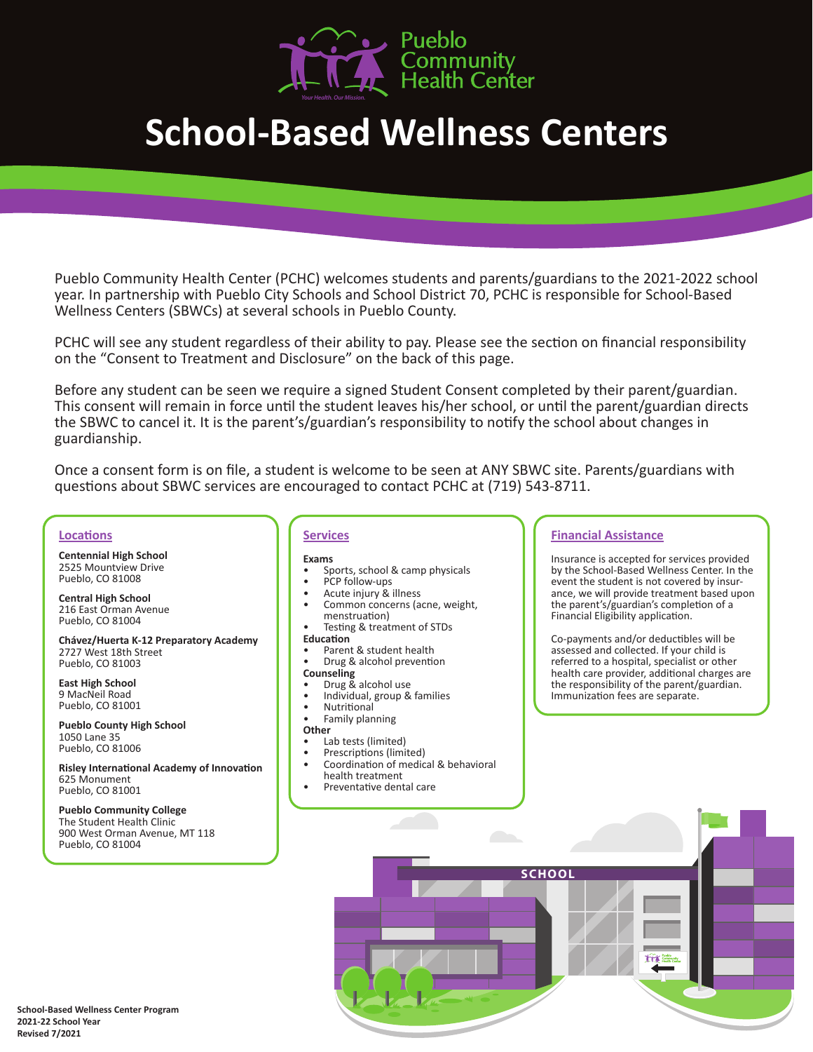

# **School-Based Wellness Centers**

Pueblo Community Health Center (PCHC) welcomes students and parents/guardians to the 2021-2022 school year. In partnership with Pueblo City Schools and School District 70, PCHC is responsible for School-Based Wellness Centers (SBWCs) at several schools in Pueblo County.

PCHC will see any student regardless of their ability to pay. Please see the section on financial responsibility on the "Consent to Treatment and Disclosure" on the back of this page.

Before any student can be seen we require a signed Student Consent completed by their parent/guardian. This consent will remain in force until the student leaves his/her school, or until the parent/guardian directs the SBWC to cancel it. It is the parent's/guardian's responsibility to notify the school about changes in guardianship.

Once a consent form is on file, a student is welcome to be seen at ANY SBWC site. Parents/guardians with questions about SBWC services are encouraged to contact PCHC at (719) 543-8711.

### **Locations**

**Centennial High School** 2525 Mountview Drive Pueblo, CO 81008

**Central High School** 216 East Orman Avenue Pueblo, CO 81004

**Chávez/Huerta K-12 Preparatory Academy** 2727 West 18th Street Pueblo, CO 81003

**East High School** 9 MacNeil Road Pueblo, CO 81001

**Pueblo County High School** 1050 Lane 35 Pueblo, CO 81006

**Risley International Academy of Innovation** 625 Monument Pueblo, CO 81001

**Pueblo Community College**  The Student Health Clinic 900 West Orman Avenue, MT 118 Pueblo, CO 81004

### **Services**

### **Exams**

- Sports, school & camp physicals PCP follow-ups Acute injury & illness
- 
- 
- Common concerns (acne, weight,
- Testing & treatment of STDs

- **Education**<br>• Parent & student health
- **Drug & alcohol prevention**
- **Counseling**<br>• Drug & alcohol use
- 
- 
- Individual, group & families<br>Nutritional
- Nutritional Family planning
- 

- **Other** (**i**)<br>• Lab tests (limited)
- Prescriptions (limited)<br>Coordination of medical & behavioral<br>health treatment
- Preventative dental care

### **Financial Assistance**

Insurance is accepted for services provided by the School-Based Wellness Center. In the event the student is not covered by insurance, we will provide treatment based upon the parent's/guardian's completion of a Financial Eligibility application.

Co-payments and/or deductibles will be assessed and collected. If your child is referred to a hospital, specialist or other health care provider, additional charges are the responsibility of the parent/guardian. Immunization fees are separate.